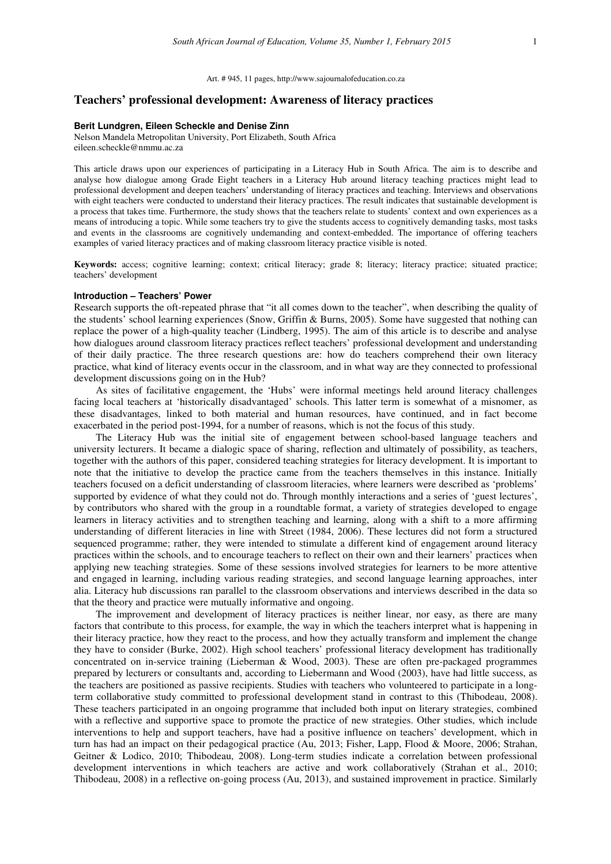Art. # 945, 11 pages, http://www.sajournalofeducation.co.za

## **Teachers' professional development: Awareness of literacy practices**

#### **Berit Lundgren, Eileen Scheckle and Denise Zinn**

Nelson Mandela Metropolitan University, Port Elizabeth, South Africa eileen.scheckle@nmmu.ac.za

This article draws upon our experiences of participating in a Literacy Hub in South Africa. The aim is to describe and analyse how dialogue among Grade Eight teachers in a Literacy Hub around literacy teaching practices might lead to professional development and deepen teachers' understanding of literacy practices and teaching. Interviews and observations with eight teachers were conducted to understand their literacy practices. The result indicates that sustainable development is a process that takes time. Furthermore, the study shows that the teachers relate to students' context and own experiences as a means of introducing a topic. While some teachers try to give the students access to cognitively demanding tasks, most tasks and events in the classrooms are cognitively undemanding and context-embedded. The importance of offering teachers examples of varied literacy practices and of making classroom literacy practice visible is noted.

**Keywords:** access; cognitive learning; context; critical literacy; grade 8; literacy; literacy practice; situated practice; teachers' development

#### **Introduction – Teachers' Power**

Research supports the oft-repeated phrase that "it all comes down to the teacher", when describing the quality of the students' school learning experiences (Snow, Griffin & Burns, 2005). Some have suggested that nothing can replace the power of a high-quality teacher (Lindberg, 1995). The aim of this article is to describe and analyse how dialogues around classroom literacy practices reflect teachers' professional development and understanding of their daily practice. The three research questions are: how do teachers comprehend their own literacy practice, what kind of literacy events occur in the classroom, and in what way are they connected to professional development discussions going on in the Hub?

As sites of facilitative engagement, the 'Hubs' were informal meetings held around literacy challenges facing local teachers at 'historically disadvantaged' schools. This latter term is somewhat of a misnomer, as these disadvantages, linked to both material and human resources, have continued, and in fact become exacerbated in the period post-1994, for a number of reasons, which is not the focus of this study.

The Literacy Hub was the initial site of engagement between school-based language teachers and university lecturers. It became a dialogic space of sharing, reflection and ultimately of possibility, as teachers, together with the authors of this paper, considered teaching strategies for literacy development. It is important to note that the initiative to develop the practice came from the teachers themselves in this instance. Initially teachers focused on a deficit understanding of classroom literacies, where learners were described as 'problems' supported by evidence of what they could not do. Through monthly interactions and a series of 'guest lectures', by contributors who shared with the group in a roundtable format, a variety of strategies developed to engage learners in literacy activities and to strengthen teaching and learning, along with a shift to a more affirming understanding of different literacies in line with Street (1984, 2006). These lectures did not form a structured sequenced programme; rather, they were intended to stimulate a different kind of engagement around literacy practices within the schools, and to encourage teachers to reflect on their own and their learners' practices when applying new teaching strategies. Some of these sessions involved strategies for learners to be more attentive and engaged in learning, including various reading strategies, and second language learning approaches, inter alia. Literacy hub discussions ran parallel to the classroom observations and interviews described in the data so that the theory and practice were mutually informative and ongoing.

The improvement and development of literacy practices is neither linear, nor easy, as there are many factors that contribute to this process, for example, the way in which the teachers interpret what is happening in their literacy practice, how they react to the process, and how they actually transform and implement the change they have to consider (Burke, 2002). High school teachers' professional literacy development has traditionally concentrated on in-service training (Lieberman & Wood, 2003). These are often pre-packaged programmes prepared by lecturers or consultants and, according to Liebermann and Wood (2003), have had little success, as the teachers are positioned as passive recipients. Studies with teachers who volunteered to participate in a longterm collaborative study committed to professional development stand in contrast to this (Thibodeau, 2008). These teachers participated in an ongoing programme that included both input on literary strategies, combined with a reflective and supportive space to promote the practice of new strategies. Other studies, which include interventions to help and support teachers, have had a positive influence on teachers' development, which in turn has had an impact on their pedagogical practice (Au, 2013; Fisher, Lapp, Flood & Moore, 2006; Strahan, Geitner & Lodico, 2010; Thibodeau, 2008). Long-term studies indicate a correlation between professional development interventions in which teachers are active and work collaboratively (Strahan et al., 2010; Thibodeau, 2008) in a reflective on-going process (Au, 2013), and sustained improvement in practice. Similarly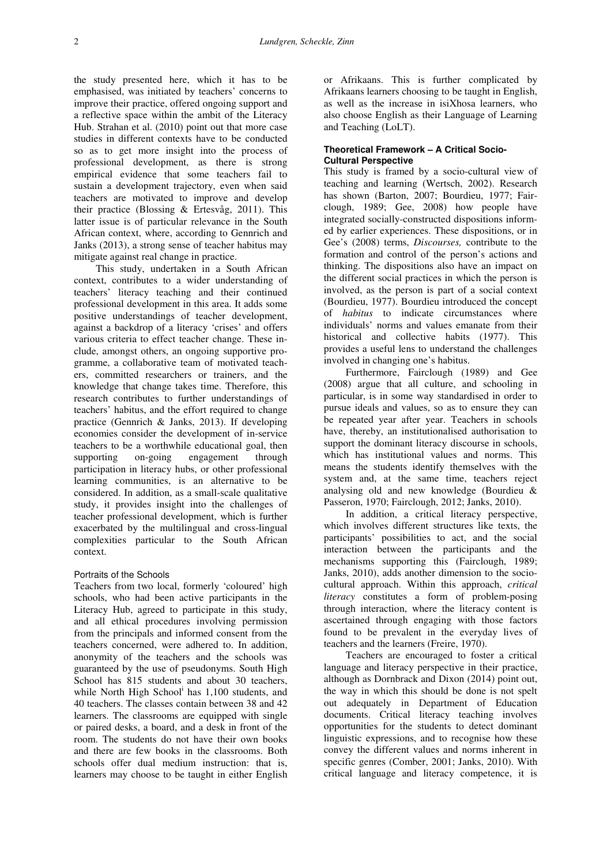the study presented here, which it has to be emphasised, was initiated by teachers' concerns to improve their practice, offered ongoing support and a reflective space within the ambit of the Literacy Hub. Strahan et al. (2010) point out that more case studies in different contexts have to be conducted so as to get more insight into the process of professional development, as there is strong empirical evidence that some teachers fail to sustain a development trajectory, even when said teachers are motivated to improve and develop their practice (Blossing & Ertesvåg, 2011). This latter issue is of particular relevance in the South African context, where, according to Gennrich and Janks (2013), a strong sense of teacher habitus may mitigate against real change in practice.

This study, undertaken in a South African context, contributes to a wider understanding of teachers' literacy teaching and their continued professional development in this area. It adds some positive understandings of teacher development, against a backdrop of a literacy 'crises' and offers various criteria to effect teacher change. These include, amongst others, an ongoing supportive programme, a collaborative team of motivated teachers, committed researchers or trainers, and the knowledge that change takes time. Therefore, this research contributes to further understandings of teachers' habitus, and the effort required to change practice (Gennrich & Janks, 2013). If developing economies consider the development of in-service teachers to be a worthwhile educational goal, then supporting on-going engagement through participation in literacy hubs, or other professional learning communities, is an alternative to be considered. In addition, as a small-scale qualitative study, it provides insight into the challenges of teacher professional development, which is further exacerbated by the multilingual and cross-lingual complexities particular to the South African context.

### Portraits of the Schools

Teachers from two local, formerly 'coloured' high schools, who had been active participants in the Literacy Hub, agreed to participate in this study, and all ethical procedures involving permission from the principals and informed consent from the teachers concerned, were adhered to. In addition, anonymity of the teachers and the schools was guaranteed by the use of pseudonyms. South High School has 815 students and about 30 teachers, while North High School<sup>i</sup> has 1,100 students, and 40 teachers. The classes contain between 38 and 42 learners. The classrooms are equipped with single or paired desks, a board, and a desk in front of the room. The students do not have their own books and there are few books in the classrooms. Both schools offer dual medium instruction: that is, learners may choose to be taught in either English

or Afrikaans. This is further complicated by Afrikaans learners choosing to be taught in English, as well as the increase in isiXhosa learners, who also choose English as their Language of Learning and Teaching (LoLT).

# **Theoretical Framework – A Critical Socio-Cultural Perspective**

This study is framed by a socio-cultural view of teaching and learning (Wertsch, 2002). Research has shown (Barton, 2007; Bourdieu, 1977; Fairclough, 1989; Gee, 2008) how people have integrated socially-constructed dispositions informed by earlier experiences. These dispositions, or in Gee's (2008) terms, *Discourses,* contribute to the formation and control of the person's actions and thinking. The dispositions also have an impact on the different social practices in which the person is involved, as the person is part of a social context (Bourdieu, 1977). Bourdieu introduced the concept of *habitus* to indicate circumstances where individuals' norms and values emanate from their historical and collective habits (1977). This provides a useful lens to understand the challenges involved in changing one's habitus.

Furthermore, Fairclough (1989) and Gee (2008) argue that all culture, and schooling in particular, is in some way standardised in order to pursue ideals and values, so as to ensure they can be repeated year after year. Teachers in schools have, thereby, an institutionalised authorisation to support the dominant literacy discourse in schools, which has institutional values and norms. This means the students identify themselves with the system and, at the same time, teachers reject analysing old and new knowledge (Bourdieu & Passeron, 1970; Fairclough, 2012; Janks, 2010).

In addition, a critical literacy perspective, which involves different structures like texts, the participants' possibilities to act, and the social interaction between the participants and the mechanisms supporting this (Fairclough, 1989; Janks, 2010), adds another dimension to the sociocultural approach. Within this approach, *critical literacy* constitutes a form of problem-posing through interaction, where the literacy content is ascertained through engaging with those factors found to be prevalent in the everyday lives of teachers and the learners (Freire, 1970).

Teachers are encouraged to foster a critical language and literacy perspective in their practice, although as Dornbrack and Dixon (2014) point out, the way in which this should be done is not spelt out adequately in Department of Education documents. Critical literacy teaching involves opportunities for the students to detect dominant linguistic expressions, and to recognise how these convey the different values and norms inherent in specific genres (Comber, 2001; Janks, 2010). With critical language and literacy competence, it is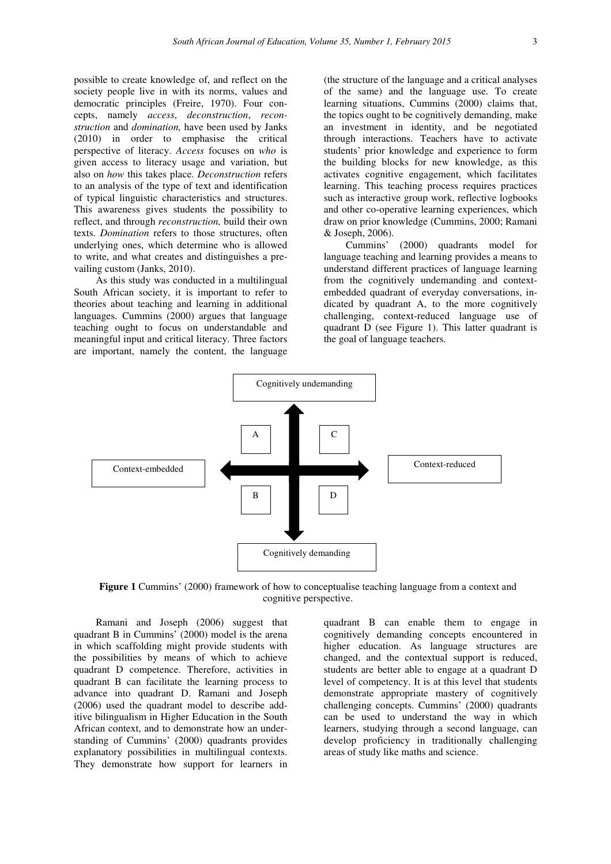possible to create knowledge of, and reflect on the society people live in with its norms, values and democratic principles (Freire, 1970). Four concepts, namely *access*, *deconstruction*, *reconstruction* and *domination,* have been used by Janks (2010) in order to emphasise the critical perspective of literacy. *Access* focuses on *who* is given access to literacy usage and variation, but also on *how* this takes place. *Deconstruction* refers to an analysis of the type of text and identification of typical linguistic characteristics and structures. This awareness gives students the possibility to reflect, and through *reconstruction,* build their own texts. *Domination* refers to those structures, often underlying ones, which determine who is allowed to write, and what creates and distinguishes a prevailing custom (Janks, 2010).

As this study was conducted in a multilingual South African society, it is important to refer to theories about teaching and learning in additional languages. Cummins (2000) argues that language teaching ought to focus on understandable and meaningful input and critical literacy. Three factors are important, namely the content, the language

(the structure of the language and a critical analyses of the same) and the language use. To create learning situations, Cummins (2000) claims that, the topics ought to be cognitively demanding, make an investment in identity, and be negotiated through interactions. Teachers have to activate students' prior knowledge and experience to form the building blocks for new knowledge, as this activates cognitive engagement, which facilitates learning. This teaching process requires practices such as interactive group work, reflective logbooks and other co-operative learning experiences, which draw on prior knowledge (Cummins, 2000; Ramani & Joseph, 2006).

Cummins' (2000) quadrants model for language teaching and learning provides a means to understand different practices of language learning from the cognitively undemanding and contextembedded quadrant of everyday conversations, indicated by quadrant A, to the more cognitively challenging, context-reduced language use of quadrant D (see Figure 1). This latter quadrant is the goal of language teachers.



**Figure 1** Cummins' (2000) framework of how to conceptualise teaching language from a context and cognitive perspective.

Ramani and Joseph (2006) suggest that quadrant B in Cummins' (2000) model is the arena in which scaffolding might provide students with the possibilities by means of which to achieve quadrant D competence. Therefore, activities in quadrant B can facilitate the learning process to advance into quadrant D. Ramani and Joseph (2006) used the quadrant model to describe additive bilingualism in Higher Education in the South African context, and to demonstrate how an understanding of Cummins' (2000) quadrants provides explanatory possibilities in multilingual contexts. They demonstrate how support for learners in

quadrant B can enable them to engage in cognitively demanding concepts encountered in higher education. As language structures are changed, and the contextual support is reduced, students are better able to engage at a quadrant D level of competency. It is at this level that students demonstrate appropriate mastery of cognitively challenging concepts. Cummins' (2000) quadrants can be used to understand the way in which learners, studying through a second language, can develop proficiency in traditionally challenging areas of study like maths and science.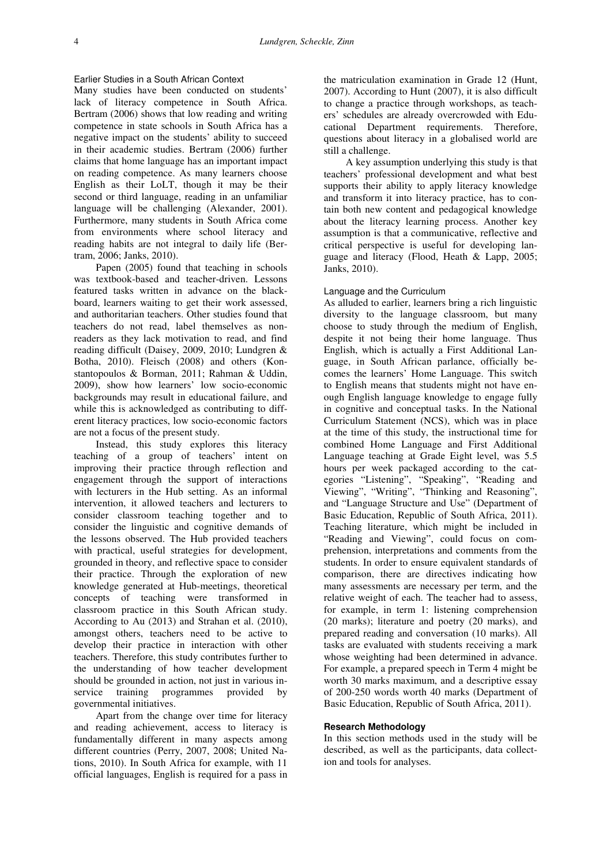# Earlier Studies in a South African Context

Many studies have been conducted on students' lack of literacy competence in South Africa. Bertram (2006) shows that low reading and writing competence in state schools in South Africa has a negative impact on the students' ability to succeed in their academic studies. Bertram (2006) further claims that home language has an important impact on reading competence. As many learners choose English as their LoLT, though it may be their second or third language, reading in an unfamiliar language will be challenging (Alexander, 2001). Furthermore, many students in South Africa come from environments where school literacy and reading habits are not integral to daily life (Bertram, 2006; Janks, 2010).

Papen (2005) found that teaching in schools was textbook-based and teacher-driven. Lessons featured tasks written in advance on the blackboard, learners waiting to get their work assessed, and authoritarian teachers. Other studies found that teachers do not read, label themselves as nonreaders as they lack motivation to read, and find reading difficult (Daisey, 2009, 2010; Lundgren & Botha, 2010). Fleisch (2008) and others (Konstantopoulos & Borman, 2011; Rahman & Uddin, 2009), show how learners' low socio-economic backgrounds may result in educational failure, and while this is acknowledged as contributing to different literacy practices, low socio-economic factors are not a focus of the present study.

Instead, this study explores this literacy teaching of a group of teachers' intent on improving their practice through reflection and engagement through the support of interactions with lecturers in the Hub setting. As an informal intervention, it allowed teachers and lecturers to consider classroom teaching together and to consider the linguistic and cognitive demands of the lessons observed. The Hub provided teachers with practical, useful strategies for development, grounded in theory, and reflective space to consider their practice. Through the exploration of new knowledge generated at Hub-meetings, theoretical concepts of teaching were transformed in classroom practice in this South African study. According to Au (2013) and Strahan et al. (2010), amongst others, teachers need to be active to develop their practice in interaction with other teachers. Therefore, this study contributes further to the understanding of how teacher development should be grounded in action, not just in various inservice training programmes provided by governmental initiatives.

Apart from the change over time for literacy and reading achievement, access to literacy is fundamentally different in many aspects among different countries (Perry, 2007, 2008; United Nations, 2010). In South Africa for example, with 11 official languages, English is required for a pass in

the matriculation examination in Grade 12 (Hunt, 2007). According to Hunt (2007), it is also difficult to change a practice through workshops, as teachers' schedules are already overcrowded with Educational Department requirements. Therefore, questions about literacy in a globalised world are still a challenge.

A key assumption underlying this study is that teachers' professional development and what best supports their ability to apply literacy knowledge and transform it into literacy practice, has to contain both new content and pedagogical knowledge about the literacy learning process. Another key assumption is that a communicative, reflective and critical perspective is useful for developing language and literacy (Flood, Heath & Lapp, 2005; Janks, 2010).

### Language and the Curriculum

As alluded to earlier, learners bring a rich linguistic diversity to the language classroom, but many choose to study through the medium of English, despite it not being their home language. Thus English, which is actually a First Additional Language, in South African parlance, officially becomes the learners' Home Language. This switch to English means that students might not have enough English language knowledge to engage fully in cognitive and conceptual tasks. In the National Curriculum Statement (NCS), which was in place at the time of this study, the instructional time for combined Home Language and First Additional Language teaching at Grade Eight level, was 5.5 hours per week packaged according to the categories "Listening", "Speaking", "Reading and Viewing", "Writing", "Thinking and Reasoning", and "Language Structure and Use" (Department of Basic Education, Republic of South Africa, 2011). Teaching literature, which might be included in "Reading and Viewing", could focus on comprehension, interpretations and comments from the students. In order to ensure equivalent standards of comparison, there are directives indicating how many assessments are necessary per term, and the relative weight of each. The teacher had to assess, for example, in term 1: listening comprehension (20 marks); literature and poetry (20 marks), and prepared reading and conversation (10 marks). All tasks are evaluated with students receiving a mark whose weighting had been determined in advance. For example, a prepared speech in Term 4 might be worth 30 marks maximum, and a descriptive essay of 200-250 words worth 40 marks (Department of Basic Education, Republic of South Africa, 2011).

### **Research Methodology**

In this section methods used in the study will be described, as well as the participants, data collection and tools for analyses.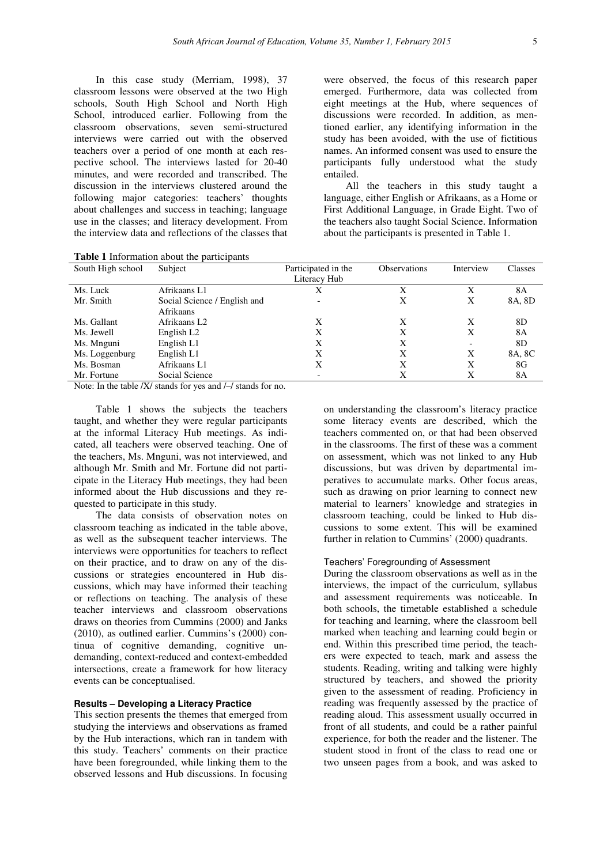In this case study (Merriam, 1998), 37 classroom lessons were observed at the two High schools, South High School and North High School, introduced earlier. Following from the classroom observations, seven semi-structured interviews were carried out with the observed teachers over a period of one month at each respective school. The interviews lasted for 20-40 minutes, and were recorded and transcribed. The discussion in the interviews clustered around the following major categories: teachers' thoughts about challenges and success in teaching; language use in the classes; and literacy development. From the interview data and reflections of the classes that

**Table 1** Information about the participants

were observed, the focus of this research paper emerged. Furthermore, data was collected from eight meetings at the Hub, where sequences of discussions were recorded. In addition, as mentioned earlier, any identifying information in the study has been avoided, with the use of fictitious names. An informed consent was used to ensure the participants fully understood what the study entailed.

All the teachers in this study taught a language, either English or Afrikaans, as a Home or First Additional Language, in Grade Eight. Two of the teachers also taught Social Science. Information about the participants is presented in Table 1.

| South High school | Subject                      | Participated in the | <b>Observations</b> | Interview                | Classes |
|-------------------|------------------------------|---------------------|---------------------|--------------------------|---------|
|                   |                              | Literacy Hub        |                     |                          |         |
| Ms. Luck          | Afrikaans L1                 |                     | Х                   |                          | 8A      |
| Mr. Smith         | Social Science / English and |                     | X                   | Χ                        | 8A, 8D  |
|                   | Afrikaans                    |                     |                     |                          |         |
| Ms. Gallant       | Afrikaans L2                 | X                   | X                   | X                        | 8D      |
| Ms. Jewell        | English L <sub>2</sub>       | X                   | X                   | X                        | 8A      |
| Ms. Mnguni        | English L1                   | Χ                   | Χ                   | $\overline{\phantom{0}}$ | 8D      |
| Ms. Loggenburg    | English L1                   | X                   | X                   | X                        | 8A, 8C  |
| Ms. Bosman        | Afrikaans L1                 | X                   | X                   | X                        | 8G      |
| Mr. Fortune       | Social Science               |                     | X                   | Χ                        | 8A      |

Note: In the table /X/ stands for yes and /-/ stands for no.

Table 1 shows the subjects the teachers taught, and whether they were regular participants at the informal Literacy Hub meetings. As indicated, all teachers were observed teaching. One of the teachers, Ms. Mnguni, was not interviewed, and although Mr. Smith and Mr. Fortune did not participate in the Literacy Hub meetings, they had been informed about the Hub discussions and they requested to participate in this study.

The data consists of observation notes on classroom teaching as indicated in the table above, as well as the subsequent teacher interviews. The interviews were opportunities for teachers to reflect on their practice, and to draw on any of the discussions or strategies encountered in Hub discussions, which may have informed their teaching or reflections on teaching. The analysis of these teacher interviews and classroom observations draws on theories from Cummins (2000) and Janks (2010), as outlined earlier. Cummins's (2000) continua of cognitive demanding, cognitive undemanding, context-reduced and context-embedded intersections, create a framework for how literacy events can be conceptualised.

# **Results – Developing a Literacy Practice**

This section presents the themes that emerged from studying the interviews and observations as framed by the Hub interactions, which ran in tandem with this study. Teachers' comments on their practice have been foregrounded, while linking them to the observed lessons and Hub discussions. In focusing on understanding the classroom's literacy practice some literacy events are described, which the teachers commented on, or that had been observed in the classrooms. The first of these was a comment on assessment, which was not linked to any Hub discussions, but was driven by departmental imperatives to accumulate marks. Other focus areas, such as drawing on prior learning to connect new material to learners' knowledge and strategies in classroom teaching, could be linked to Hub discussions to some extent. This will be examined further in relation to Cummins' (2000) quadrants.

# Teachers' Foregrounding of Assessment

During the classroom observations as well as in the interviews, the impact of the curriculum, syllabus and assessment requirements was noticeable. In both schools, the timetable established a schedule for teaching and learning, where the classroom bell marked when teaching and learning could begin or end. Within this prescribed time period, the teachers were expected to teach, mark and assess the students. Reading, writing and talking were highly structured by teachers, and showed the priority given to the assessment of reading. Proficiency in reading was frequently assessed by the practice of reading aloud. This assessment usually occurred in front of all students, and could be a rather painful experience, for both the reader and the listener. The student stood in front of the class to read one or two unseen pages from a book, and was asked to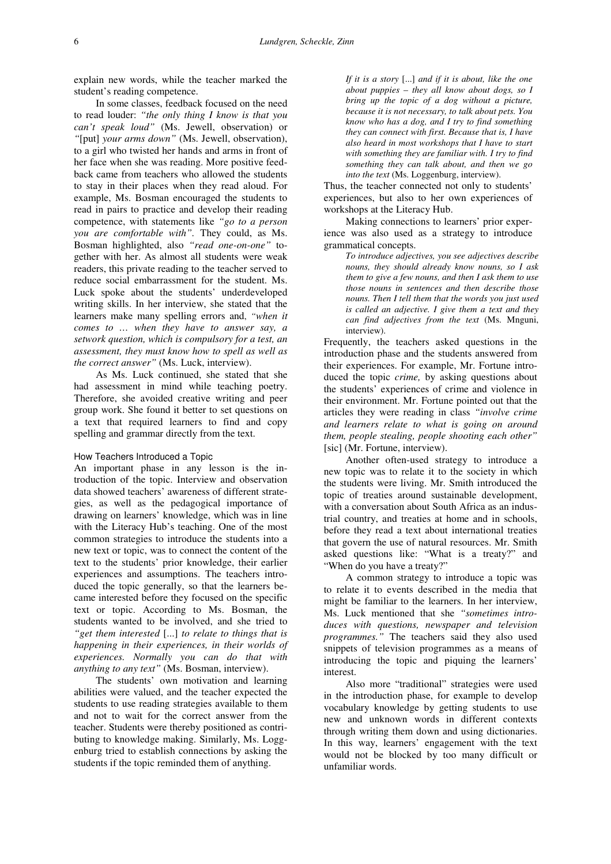explain new words, while the teacher marked the student's reading competence.

In some classes, feedback focused on the need to read louder: *"the only thing I know is that you can't speak loud"* (Ms. Jewell, observation) or *"*[put] *your arms down"* (Ms. Jewell, observation), to a girl who twisted her hands and arms in front of her face when she was reading. More positive feedback came from teachers who allowed the students to stay in their places when they read aloud. For example, Ms. Bosman encouraged the students to read in pairs to practice and develop their reading competence, with statements like *"go to a person you are comfortable with".* They could, as Ms. Bosman highlighted, also *"read one-on-one"* together with her. As almost all students were weak readers, this private reading to the teacher served to reduce social embarrassment for the student. Ms. Luck spoke about the students' underdeveloped writing skills. In her interview, she stated that the learners make many spelling errors and, *"when it comes to … when they have to answer say, a setwork question, which is compulsory for a test, an assessment, they must know how to spell as well as the correct answer"* (Ms. Luck, interview).

As Ms. Luck continued, she stated that she had assessment in mind while teaching poetry. Therefore, she avoided creative writing and peer group work. She found it better to set questions on a text that required learners to find and copy spelling and grammar directly from the text.

#### How Teachers Introduced a Topic

An important phase in any lesson is the introduction of the topic. Interview and observation data showed teachers' awareness of different strategies, as well as the pedagogical importance of drawing on learners' knowledge, which was in line with the Literacy Hub's teaching. One of the most common strategies to introduce the students into a new text or topic, was to connect the content of the text to the students' prior knowledge, their earlier experiences and assumptions. The teachers introduced the topic generally, so that the learners became interested before they focused on the specific text or topic. According to Ms. Bosman, the students wanted to be involved, and she tried to *"get them interested* [...] *to relate to things that is happening in their experiences, in their worlds of experiences. Normally you can do that with anything to any text"* (Ms. Bosman, interview).

The students' own motivation and learning abilities were valued, and the teacher expected the students to use reading strategies available to them and not to wait for the correct answer from the teacher. Students were thereby positioned as contributing to knowledge making. Similarly, Ms. Loggenburg tried to establish connections by asking the students if the topic reminded them of anything.

*If it is a story* [...] *and if it is about, like the one about puppies – they all know about dogs, so I bring up the topic of a dog without a picture, because it is not necessary, to talk about pets. You know who has a dog, and I try to find something they can connect with first. Because that is, I have also heard in most workshops that I have to start with something they are familiar with. I try to find something they can talk about, and then we go into the text* (Ms. Loggenburg, interview).

Thus, the teacher connected not only to students' experiences, but also to her own experiences of workshops at the Literacy Hub.

Making connections to learners' prior experience was also used as a strategy to introduce grammatical concepts.

> *To introduce adjectives, you see adjectives describe nouns, they should already know nouns, so I ask them to give a few nouns, and then I ask them to use those nouns in sentences and then describe those nouns. Then I tell them that the words you just used is called an adjective. I give them a text and they can find adjectives from the text* (Ms. Mnguni, interview).

Frequently, the teachers asked questions in the introduction phase and the students answered from their experiences. For example, Mr. Fortune introduced the topic *crime,* by asking questions about the students' experiences of crime and violence in their environment. Mr. Fortune pointed out that the articles they were reading in class *"involve crime and learners relate to what is going on around them, people stealing, people shooting each other"*  [sic] (Mr. Fortune, interview).

Another often-used strategy to introduce a new topic was to relate it to the society in which the students were living. Mr. Smith introduced the topic of treaties around sustainable development, with a conversation about South Africa as an industrial country, and treaties at home and in schools, before they read a text about international treaties that govern the use of natural resources. Mr. Smith asked questions like: "What is a treaty?" and "When do you have a treaty?"

A common strategy to introduce a topic was to relate it to events described in the media that might be familiar to the learners. In her interview, Ms. Luck mentioned that she *"sometimes introduces with questions, newspaper and television programmes."* The teachers said they also used snippets of television programmes as a means of introducing the topic and piquing the learners' interest.

Also more "traditional" strategies were used in the introduction phase, for example to develop vocabulary knowledge by getting students to use new and unknown words in different contexts through writing them down and using dictionaries. In this way, learners' engagement with the text would not be blocked by too many difficult or unfamiliar words.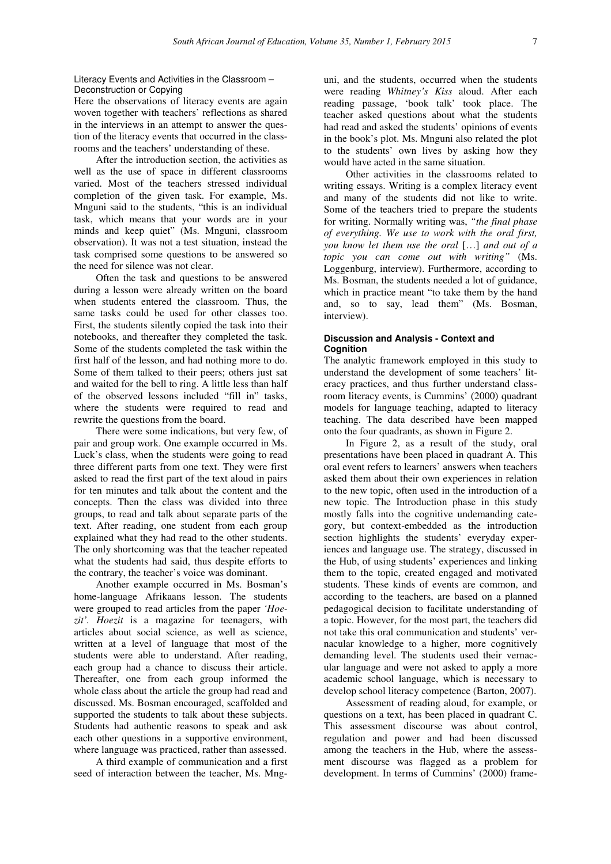# Literacy Events and Activities in the Classroom – Deconstruction or Copying

Here the observations of literacy events are again woven together with teachers' reflections as shared in the interviews in an attempt to answer the question of the literacy events that occurred in the classrooms and the teachers' understanding of these.

After the introduction section, the activities as well as the use of space in different classrooms varied. Most of the teachers stressed individual completion of the given task. For example, Ms. Mnguni said to the students, "this is an individual task, which means that your words are in your minds and keep quiet" (Ms. Mnguni, classroom observation). It was not a test situation, instead the task comprised some questions to be answered so the need for silence was not clear.

Often the task and questions to be answered during a lesson were already written on the board when students entered the classroom. Thus, the same tasks could be used for other classes too. First, the students silently copied the task into their notebooks, and thereafter they completed the task. Some of the students completed the task within the first half of the lesson, and had nothing more to do. Some of them talked to their peers; others just sat and waited for the bell to ring. A little less than half of the observed lessons included "fill in" tasks, where the students were required to read and rewrite the questions from the board.

There were some indications, but very few, of pair and group work. One example occurred in Ms. Luck's class, when the students were going to read three different parts from one text. They were first asked to read the first part of the text aloud in pairs for ten minutes and talk about the content and the concepts. Then the class was divided into three groups, to read and talk about separate parts of the text. After reading, one student from each group explained what they had read to the other students. The only shortcoming was that the teacher repeated what the students had said, thus despite efforts to the contrary, the teacher's voice was dominant.

Another example occurred in Ms. Bosman's home-language Afrikaans lesson. The students were grouped to read articles from the paper *'Hoezit'. Hoezit* is a magazine for teenagers, with articles about social science, as well as science, written at a level of language that most of the students were able to understand. After reading, each group had a chance to discuss their article. Thereafter, one from each group informed the whole class about the article the group had read and discussed. Ms. Bosman encouraged, scaffolded and supported the students to talk about these subjects. Students had authentic reasons to speak and ask each other questions in a supportive environment, where language was practiced, rather than assessed.

A third example of communication and a first seed of interaction between the teacher, Ms. Mnguni, and the students, occurred when the students were reading *Whitney's Kiss* aloud. After each reading passage, 'book talk' took place. The teacher asked questions about what the students had read and asked the students' opinions of events in the book's plot. Ms. Mnguni also related the plot to the students' own lives by asking how they would have acted in the same situation.

Other activities in the classrooms related to writing essays. Writing is a complex literacy event and many of the students did not like to write. Some of the teachers tried to prepare the students for writing. Normally writing was, *"the final phase of everything. We use to work with the oral first, you know let them use the oral* […] *and out of a topic you can come out with writing"* (Ms. Loggenburg, interview). Furthermore, according to Ms. Bosman, the students needed a lot of guidance, which in practice meant "to take them by the hand and, so to say, lead them" (Ms. Bosman, interview).

### **Discussion and Analysis - Context and Cognition**

The analytic framework employed in this study to understand the development of some teachers' literacy practices, and thus further understand classroom literacy events, is Cummins' (2000) quadrant models for language teaching, adapted to literacy teaching. The data described have been mapped onto the four quadrants, as shown in Figure 2.

In Figure 2, as a result of the study, oral presentations have been placed in quadrant A. This oral event refers to learners' answers when teachers asked them about their own experiences in relation to the new topic, often used in the introduction of a new topic. The Introduction phase in this study mostly falls into the cognitive undemanding category, but context-embedded as the introduction section highlights the students' everyday experiences and language use. The strategy, discussed in the Hub, of using students' experiences and linking them to the topic, created engaged and motivated students. These kinds of events are common, and according to the teachers, are based on a planned pedagogical decision to facilitate understanding of a topic. However, for the most part, the teachers did not take this oral communication and students' vernacular knowledge to a higher, more cognitively demanding level. The students used their vernacular language and were not asked to apply a more academic school language, which is necessary to develop school literacy competence (Barton, 2007).

Assessment of reading aloud, for example, or questions on a text, has been placed in quadrant C. This assessment discourse was about control, regulation and power and had been discussed among the teachers in the Hub, where the assessment discourse was flagged as a problem for development. In terms of Cummins' (2000) frame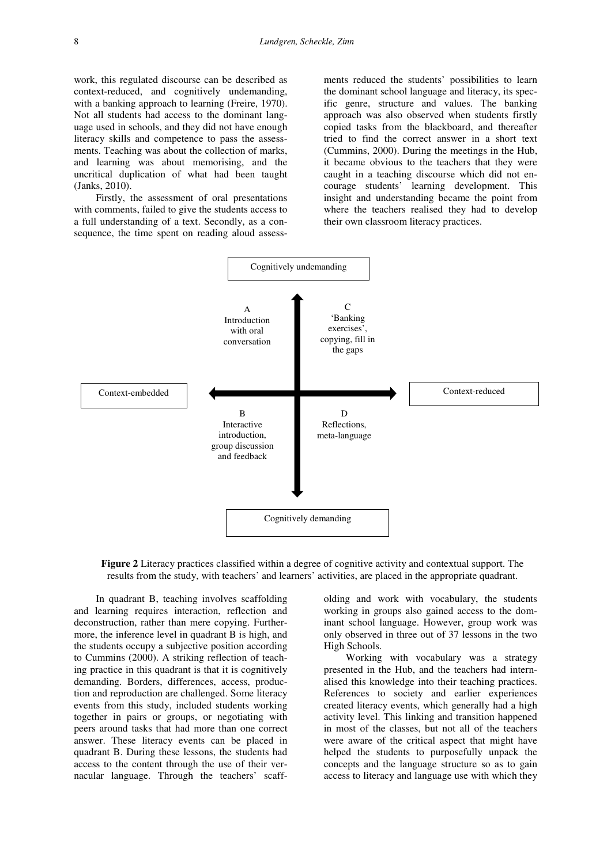work, this regulated discourse can be described as context-reduced, and cognitively undemanding, with a banking approach to learning (Freire, 1970). Not all students had access to the dominant language used in schools, and they did not have enough literacy skills and competence to pass the assessments. Teaching was about the collection of marks, and learning was about memorising, and the uncritical duplication of what had been taught (Janks, 2010).

Firstly, the assessment of oral presentations with comments, failed to give the students access to a full understanding of a text. Secondly, as a consequence, the time spent on reading aloud assess-

ments reduced the students' possibilities to learn the dominant school language and literacy, its specific genre, structure and values. The banking approach was also observed when students firstly copied tasks from the blackboard, and thereafter tried to find the correct answer in a short text (Cummins, 2000). During the meetings in the Hub, it became obvious to the teachers that they were caught in a teaching discourse which did not encourage students' learning development. This insight and understanding became the point from where the teachers realised they had to develop their own classroom literacy practices.



**Figure 2** Literacy practices classified within a degree of cognitive activity and contextual support. The results from the study, with teachers' and learners' activities, are placed in the appropriate quadrant.

In quadrant B, teaching involves scaffolding and learning requires interaction, reflection and deconstruction, rather than mere copying. Furthermore, the inference level in quadrant B is high, and the students occupy a subjective position according to Cummins (2000). A striking reflection of teaching practice in this quadrant is that it is cognitively demanding. Borders, differences, access, production and reproduction are challenged. Some literacy events from this study, included students working together in pairs or groups, or negotiating with peers around tasks that had more than one correct answer. These literacy events can be placed in quadrant B. During these lessons, the students had access to the content through the use of their vernacular language. Through the teachers' scaffolding and work with vocabulary, the students working in groups also gained access to the dominant school language. However, group work was only observed in three out of 37 lessons in the two High Schools.

Working with vocabulary was a strategy presented in the Hub, and the teachers had internalised this knowledge into their teaching practices. References to society and earlier experiences created literacy events, which generally had a high activity level. This linking and transition happened in most of the classes, but not all of the teachers were aware of the critical aspect that might have helped the students to purposefully unpack the concepts and the language structure so as to gain access to literacy and language use with which they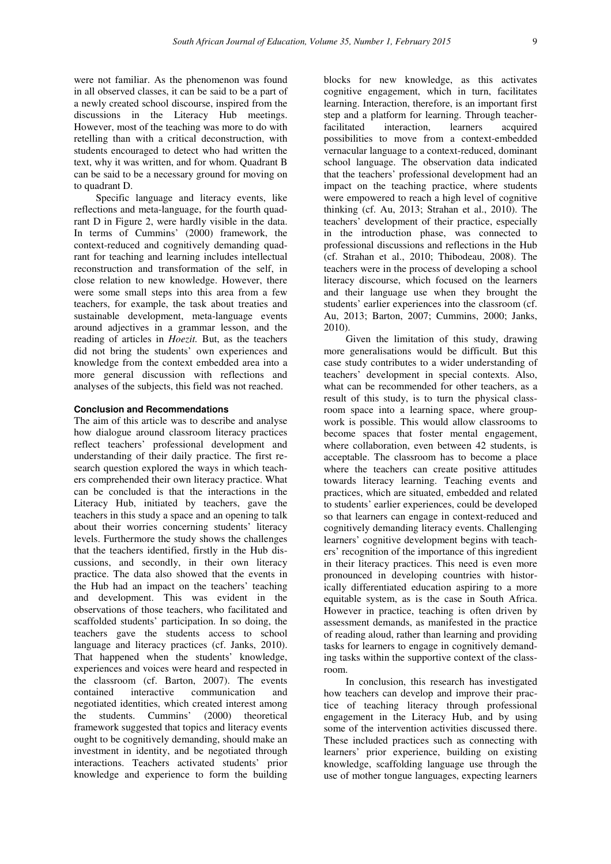were not familiar. As the phenomenon was found in all observed classes, it can be said to be a part of a newly created school discourse, inspired from the discussions in the Literacy Hub meetings. However, most of the teaching was more to do with retelling than with a critical deconstruction, with students encouraged to detect who had written the text, why it was written, and for whom. Quadrant B can be said to be a necessary ground for moving on to quadrant D.

Specific language and literacy events, like reflections and meta-language, for the fourth quadrant D in Figure 2, were hardly visible in the data. In terms of Cummins' (2000) framework, the context-reduced and cognitively demanding quadrant for teaching and learning includes intellectual reconstruction and transformation of the self, in close relation to new knowledge. However, there were some small steps into this area from a few teachers, for example, the task about treaties and sustainable development, meta-language events around adjectives in a grammar lesson, and the reading of articles in *Hoezit.* But, as the teachers did not bring the students' own experiences and knowledge from the context embedded area into a more general discussion with reflections and analyses of the subjects, this field was not reached.

# **Conclusion and Recommendations**

The aim of this article was to describe and analyse how dialogue around classroom literacy practices reflect teachers' professional development and understanding of their daily practice. The first research question explored the ways in which teachers comprehended their own literacy practice. What can be concluded is that the interactions in the Literacy Hub, initiated by teachers, gave the teachers in this study a space and an opening to talk about their worries concerning students' literacy levels. Furthermore the study shows the challenges that the teachers identified, firstly in the Hub discussions, and secondly, in their own literacy practice. The data also showed that the events in the Hub had an impact on the teachers' teaching and development. This was evident in the observations of those teachers, who facilitated and scaffolded students' participation. In so doing, the teachers gave the students access to school language and literacy practices (cf. Janks, 2010). That happened when the students' knowledge, experiences and voices were heard and respected in the classroom (cf. Barton, 2007). The events contained interactive communication and negotiated identities, which created interest among the students. Cummins' (2000) theoretical framework suggested that topics and literacy events ought to be cognitively demanding, should make an investment in identity, and be negotiated through interactions. Teachers activated students' prior knowledge and experience to form the building

blocks for new knowledge, as this activates cognitive engagement, which in turn, facilitates learning. Interaction, therefore, is an important first step and a platform for learning. Through teacherfacilitated interaction, learners acquired possibilities to move from a context-embedded vernacular language to a context-reduced, dominant school language. The observation data indicated that the teachers' professional development had an impact on the teaching practice, where students were empowered to reach a high level of cognitive thinking (cf. Au, 2013; Strahan et al., 2010). The teachers' development of their practice, especially in the introduction phase, was connected to professional discussions and reflections in the Hub (cf. Strahan et al., 2010; Thibodeau, 2008). The teachers were in the process of developing a school literacy discourse, which focused on the learners and their language use when they brought the students' earlier experiences into the classroom (cf. Au, 2013; Barton, 2007; Cummins, 2000; Janks, 2010).

Given the limitation of this study, drawing more generalisations would be difficult. But this case study contributes to a wider understanding of teachers' development in special contexts. Also, what can be recommended for other teachers, as a result of this study, is to turn the physical classroom space into a learning space, where groupwork is possible. This would allow classrooms to become spaces that foster mental engagement, where collaboration, even between 42 students, is acceptable. The classroom has to become a place where the teachers can create positive attitudes towards literacy learning. Teaching events and practices, which are situated, embedded and related to students' earlier experiences, could be developed so that learners can engage in context-reduced and cognitively demanding literacy events. Challenging learners' cognitive development begins with teachers' recognition of the importance of this ingredient in their literacy practices. This need is even more pronounced in developing countries with historically differentiated education aspiring to a more equitable system, as is the case in South Africa. However in practice, teaching is often driven by assessment demands, as manifested in the practice of reading aloud, rather than learning and providing tasks for learners to engage in cognitively demanding tasks within the supportive context of the classroom.

In conclusion, this research has investigated how teachers can develop and improve their practice of teaching literacy through professional engagement in the Literacy Hub, and by using some of the intervention activities discussed there. These included practices such as connecting with learners' prior experience, building on existing knowledge, scaffolding language use through the use of mother tongue languages, expecting learners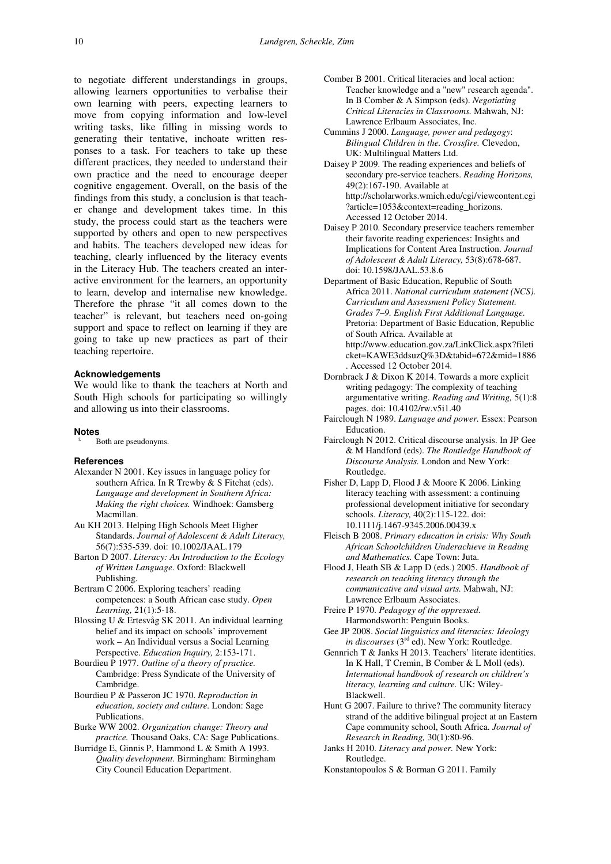to negotiate different understandings in groups, allowing learners opportunities to verbalise their own learning with peers, expecting learners to move from copying information and low-level writing tasks, like filling in missing words to generating their tentative, inchoate written responses to a task. For teachers to take up these different practices, they needed to understand their own practice and the need to encourage deeper cognitive engagement. Overall, on the basis of the findings from this study, a conclusion is that teacher change and development takes time. In this study, the process could start as the teachers were supported by others and open to new perspectives and habits. The teachers developed new ideas for teaching, clearly influenced by the literacy events in the Literacy Hub. The teachers created an interactive environment for the learners, an opportunity to learn, develop and internalise new knowledge. Therefore the phrase "it all comes down to the teacher" is relevant, but teachers need on-going support and space to reflect on learning if they are going to take up new practices as part of their teaching repertoire.

#### **Acknowledgements**

We would like to thank the teachers at North and South High schools for participating so willingly and allowing us into their classrooms.

### **Notes**

Both are pseudonyms.

#### **References**

- Alexander N 2001. Key issues in language policy for southern Africa. In R Trewby & S Fitchat (eds). *Language and development in Southern Africa: Making the right choices.* Windhoek: Gamsberg Macmillan.
- Au KH 2013. Helping High Schools Meet Higher Standards. *Journal of Adolescent & Adult Literacy,*  56(7):535-539. doi: 10.1002/JAAL.179
- Barton D 2007. *Literacy: An Introduction to the Ecology of Written Language.* Oxford: Blackwell Publishing.
- Bertram C 2006. Exploring teachers' reading competences: a South African case study. *Open Learning,* 21(1):5-18.
- Blossing U & Ertesvåg SK 2011. An individual learning belief and its impact on schools' improvement work – An Individual versus a Social Learning Perspective. *Education Inquiry,* 2:153-171.
- Bourdieu P 1977. *Outline of a theory of practice.*  Cambridge: Press Syndicate of the University of Cambridge.
- Bourdieu P & Passeron JC 1970. *Reproduction in education, society and culture.* London: Sage Publications.
- Burke WW 2002. *Organization change: Theory and practice.* Thousand Oaks, CA: Sage Publications.
- Burridge E, Ginnis P, Hammond L & Smith A 1993. *Quality development.* Birmingham: Birmingham City Council Education Department.
- Comber B 2001. Critical literacies and local action: Teacher knowledge and a "new" research agenda". In B Comber & A Simpson (eds). *Negotiating Critical Literacies in Classrooms.* Mahwah, NJ: Lawrence Erlbaum Associates, Inc.
- Cummins J 2000. *Language, power and pedagogy*: *Bilingual Children in the. Crossfire.* Clevedon, UK: Multilingual Matters Ltd.
- Daisey P 2009. The reading experiences and beliefs of secondary pre-service teachers. *Reading Horizons,*  49(2):167-190. Available at http://scholarworks.wmich.edu/cgi/viewcontent.cgi ?article=1053&context=reading\_horizons. Accessed 12 October 2014.
- Daisey P 2010. Secondary preservice teachers remember their favorite reading experiences: Insights and Implications for Content Area Instruction. *Journal of Adolescent & Adult Literacy,* 53(8):678-687. doi: 10.1598/JAAL.53.8.6
- Department of Basic Education, Republic of South Africa 2011. *National curriculum statement (NCS). Curriculum and Assessment Policy Statement. Grades 7–9. English First Additional Language.*  Pretoria: Department of Basic Education, Republic of South Africa. Available at http://www.education.gov.za/LinkClick.aspx?fileti cket=KAWE3ddsuzQ%3D&tabid=672&mid=1886 . Accessed 12 October 2014.
- Dornbrack J & Dixon K 2014. Towards a more explicit writing pedagogy: The complexity of teaching argumentative writing. *Reading and Writing,* 5(1):8 pages. doi: 10.4102/rw.v5i1.40
- Fairclough N 1989. *Language and power.* Essex: Pearson Education.
- Fairclough N 2012. Critical discourse analysis. In JP Gee & M Handford (eds). *The Routledge Handbook of Discourse Analysis.* London and New York: Routledge.
- Fisher D, Lapp D, Flood J & Moore K 2006. Linking literacy teaching with assessment: a continuing professional development initiative for secondary schools. *Literacy,* 40(2):115-122. doi: 10.1111/j.1467-9345.2006.00439.x
- Fleisch B 2008. *Primary education in crisis: Why South African Schoolchildren Underachieve in Reading and Mathematics.* Cape Town: Juta.
- Flood J, Heath SB & Lapp D (eds.) 2005. *Handbook of research on teaching literacy through the communicative and visual arts.* Mahwah, NJ: Lawrence Erlbaum Associates.
- Freire P 1970. *Pedagogy of the oppressed.* Harmondsworth: Penguin Books.
- Gee JP 2008. *Social linguistics and literacies: Ideology in discourses* (3<sup>rd</sup> ed). New York: Routledge.
- Gennrich T & Janks H 2013. Teachers' literate identities. In K Hall, T Cremin, B Comber & L Moll (eds). *International handbook of research on children's literacy, learning and culture.* UK: Wiley-Blackwell.
- Hunt G 2007. Failure to thrive? The community literacy strand of the additive bilingual project at an Eastern Cape community school, South Africa. *Journal of Research in Reading,* 30(1):80-96.
- Janks H 2010. *Literacy and power.* New York: Routledge.
- Konstantopoulos S & Borman G 2011. Family